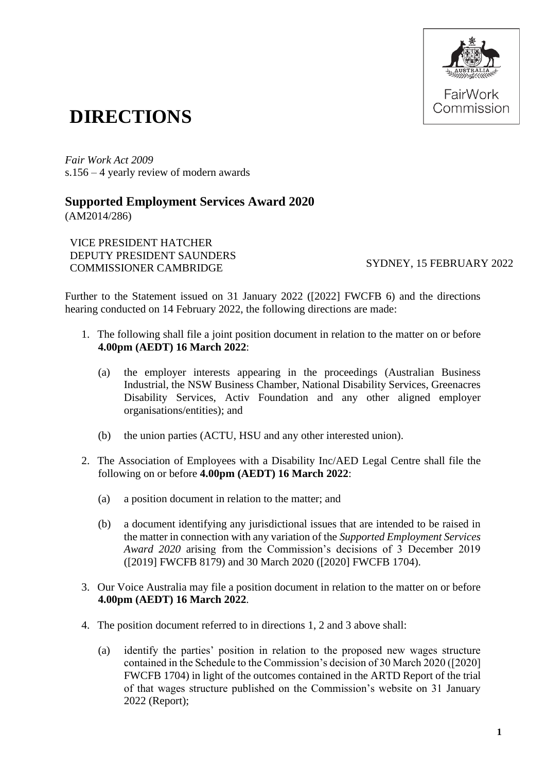

## **DIRECTIONS**

*Fair Work Act 2009*  s.156 – 4 yearly review of modern awards

## **Supported Employment Services Award 2020**

(AM2014/286)

VICE PRESIDENT HATCHER DEPUTY PRESIDENT SAUNDERS COMMISSIONER CAMBRIDGE SYDNEY, 15 FEBRUARY 2022

Further to the Statement issued on 31 January 2022 ([2022] FWCFB 6) and the directions hearing conducted on 14 February 2022, the following directions are made:

- 1. The following shall file a joint position document in relation to the matter on or before **4.00pm (AEDT) 16 March 2022**:
	- (a) the employer interests appearing in the proceedings (Australian Business Industrial, the NSW Business Chamber, National Disability Services, Greenacres Disability Services, Activ Foundation and any other aligned employer organisations/entities); and
	- (b) the union parties (ACTU, HSU and any other interested union).
- 2. The Association of Employees with a Disability Inc/AED Legal Centre shall file the following on or before **4.00pm (AEDT) 16 March 2022**:
	- (a) a position document in relation to the matter; and
	- (b) a document identifying any jurisdictional issues that are intended to be raised in the matter in connection with any variation of the *Supported Employment Services Award 2020* arising from the Commission's decisions of 3 December 2019 ([2019] FWCFB 8179) and 30 March 2020 ([2020] FWCFB 1704).
- 3. Our Voice Australia may file a position document in relation to the matter on or before **4.00pm (AEDT) 16 March 2022**.
- 4. The position document referred to in directions 1, 2 and 3 above shall:
	- (a) identify the parties' position in relation to the proposed new wages structure contained in the Schedule to the Commission's decision of 30 March 2020 ([2020] FWCFB 1704) in light of the outcomes contained in the ARTD Report of the trial of that wages structure published on the Commission's website on 31 January 2022 (Report);